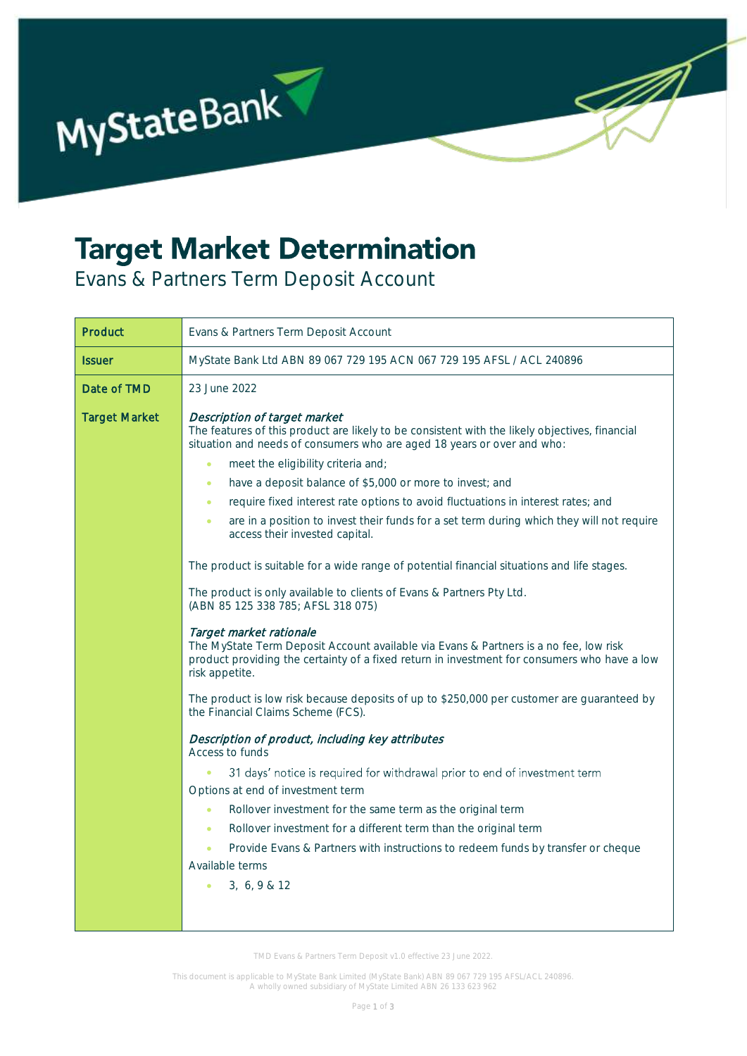

## **Target Market Determination**

Evans & Partners Term Deposit Account

| Product              | Evans & Partners Term Deposit Account                                                                                                                                                                                                                                                                                                                                                                                                                                                                                                                                                                                                                                                                                                                                                                                                                                                                                                                                                                                                                                                                                                                                                                                                                                                                                                                                                                                                                                                                                                                                                                                                                                                         |  |  |
|----------------------|-----------------------------------------------------------------------------------------------------------------------------------------------------------------------------------------------------------------------------------------------------------------------------------------------------------------------------------------------------------------------------------------------------------------------------------------------------------------------------------------------------------------------------------------------------------------------------------------------------------------------------------------------------------------------------------------------------------------------------------------------------------------------------------------------------------------------------------------------------------------------------------------------------------------------------------------------------------------------------------------------------------------------------------------------------------------------------------------------------------------------------------------------------------------------------------------------------------------------------------------------------------------------------------------------------------------------------------------------------------------------------------------------------------------------------------------------------------------------------------------------------------------------------------------------------------------------------------------------------------------------------------------------------------------------------------------------|--|--|
| <b>Issuer</b>        | MyState Bank Ltd ABN 89 067 729 195 ACN 067 729 195 AFSL / ACL 240896                                                                                                                                                                                                                                                                                                                                                                                                                                                                                                                                                                                                                                                                                                                                                                                                                                                                                                                                                                                                                                                                                                                                                                                                                                                                                                                                                                                                                                                                                                                                                                                                                         |  |  |
| Date of TMD          | 23 June 2022                                                                                                                                                                                                                                                                                                                                                                                                                                                                                                                                                                                                                                                                                                                                                                                                                                                                                                                                                                                                                                                                                                                                                                                                                                                                                                                                                                                                                                                                                                                                                                                                                                                                                  |  |  |
| <b>Target Market</b> | Description of target market<br>The features of this product are likely to be consistent with the likely objectives, financial<br>situation and needs of consumers who are aged 18 years or over and who:<br>meet the eligibility criteria and;<br>$\bullet$<br>have a deposit balance of \$5,000 or more to invest; and<br>$\bullet$<br>require fixed interest rate options to avoid fluctuations in interest rates; and<br>$\bullet$<br>are in a position to invest their funds for a set term during which they will not require<br>$\bullet$<br>access their invested capital.<br>The product is suitable for a wide range of potential financial situations and life stages.<br>The product is only available to clients of Evans & Partners Pty Ltd.<br>(ABN 85 125 338 785; AFSL 318 075)<br>Target market rationale<br>The MyState Term Deposit Account available via Evans & Partners is a no fee, low risk<br>product providing the certainty of a fixed return in investment for consumers who have a low<br>risk appetite.<br>The product is low risk because deposits of up to \$250,000 per customer are guaranteed by<br>the Financial Claims Scheme (FCS).<br>Description of product, including key attributes<br>Access to funds<br>31 days' notice is required for withdrawal prior to end of investment term<br>$\bullet$<br>Options at end of investment term<br>Rollover investment for the same term as the original term<br>$\bullet$<br>Rollover investment for a different term than the original term<br>$\bullet$<br>Provide Evans & Partners with instructions to redeem funds by transfer or cheque<br>$\bullet$<br>Available terms<br>3, 6, 9 & 12<br>$\bullet$ |  |  |

TMD Evans & Partners Term Deposit v1.0 effective 23 June 2022.

This document is applicable to MyState Bank Limited (MyState Bank) ABN 89 067 729 195 AFSL/ACL 240896. A wholly owned subsidiary of MyState Limited ABN 26 133 623 962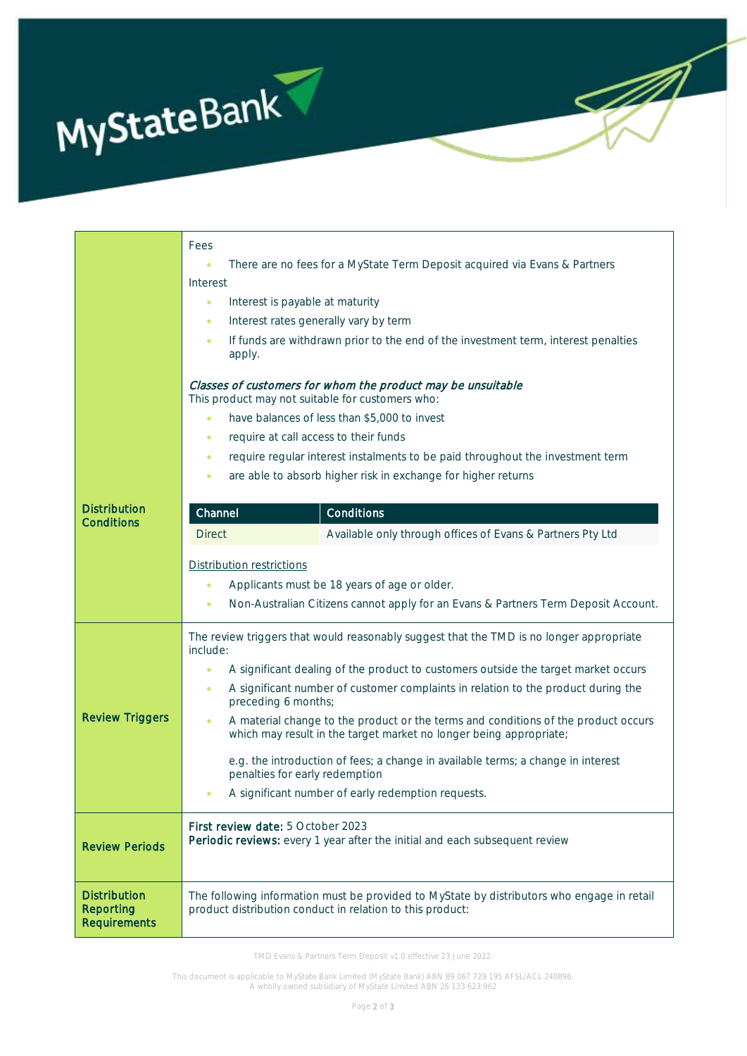

|                                                         | Fees                                                                                                                                                                  |  |  |  |
|---------------------------------------------------------|-----------------------------------------------------------------------------------------------------------------------------------------------------------------------|--|--|--|
|                                                         | There are no fees for a MyState Term Deposit acquired via Evans & Partners<br>$\bullet$                                                                               |  |  |  |
|                                                         | Interest                                                                                                                                                              |  |  |  |
|                                                         | Interest is payable at maturity<br>$\bullet$                                                                                                                          |  |  |  |
|                                                         | Interest rates generally vary by term<br>٠                                                                                                                            |  |  |  |
|                                                         | If funds are withdrawn prior to the end of the investment term, interest penalties<br>$\bullet$<br>apply.                                                             |  |  |  |
|                                                         | Classes of customers for whom the product may be unsuitable<br>This product may not suitable for customers who:                                                       |  |  |  |
|                                                         | have balances of less than \$5,000 to invest<br>$\bullet$                                                                                                             |  |  |  |
|                                                         | require at call access to their funds<br>٠                                                                                                                            |  |  |  |
|                                                         | require regular interest instalments to be paid throughout the investment term<br>٠                                                                                   |  |  |  |
|                                                         | are able to absorb higher risk in exchange for higher returns<br>$\bullet$                                                                                            |  |  |  |
|                                                         |                                                                                                                                                                       |  |  |  |
| <b>Distribution</b><br><b>Conditions</b>                | Channel<br>Conditions                                                                                                                                                 |  |  |  |
|                                                         | Available only through offices of Evans & Partners Pty Ltd<br><b>Direct</b>                                                                                           |  |  |  |
|                                                         |                                                                                                                                                                       |  |  |  |
|                                                         | Distribution restrictions                                                                                                                                             |  |  |  |
|                                                         | Applicants must be 18 years of age or older.<br>$\bullet$                                                                                                             |  |  |  |
|                                                         | Non-Australian Citizens cannot apply for an Evans & Partners Term Deposit Account.<br>$\bullet$                                                                       |  |  |  |
|                                                         | The review triggers that would reasonably suggest that the TMD is no longer appropriate<br>include:                                                                   |  |  |  |
| <b>Review Triggers</b>                                  | A significant dealing of the product to customers outside the target market occurs<br>$\bullet$                                                                       |  |  |  |
|                                                         | A significant number of customer complaints in relation to the product during the<br>$\bullet$<br>preceding 6 months;                                                 |  |  |  |
|                                                         | A material change to the product or the terms and conditions of the product occurs<br>$\bullet$<br>which may result in the target market no longer being appropriate; |  |  |  |
|                                                         | e.g. the introduction of fees; a change in available terms; a change in interest<br>penalties for early redemption                                                    |  |  |  |
|                                                         | A significant number of early redemption requests.<br>$\bullet$                                                                                                       |  |  |  |
| <b>Review Periods</b>                                   | First review date: 5 October 2023<br>Periodic reviews: every 1 year after the initial and each subsequent review                                                      |  |  |  |
| <b>Distribution</b><br>Reporting<br><b>Requirements</b> | The following information must be provided to MyState by distributors who engage in retail<br>product distribution conduct in relation to this product:               |  |  |  |

J)

4

TMD Evans & Partners Term Deposit v1.0 effective 23 June 2022.

This document is applicable to MyState Bank Limited (MyState Bank) ABN 89 067 729 195 AFSL/ACL 240896. A wholly owned subsidiary of MyState Limited ABN 26 133 623 962